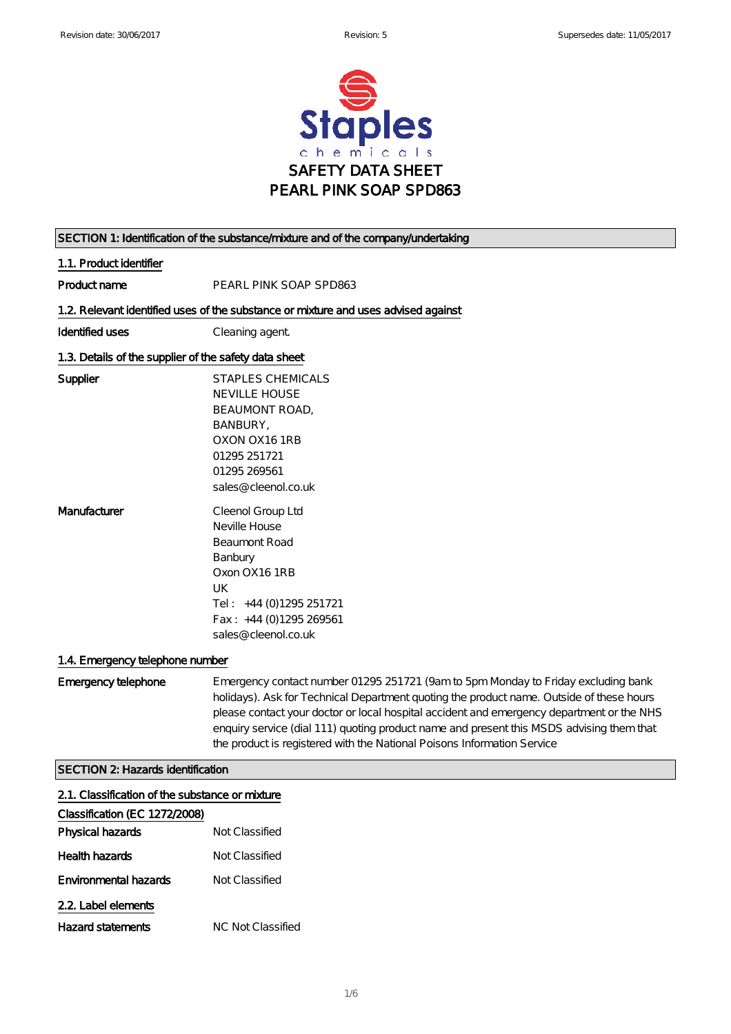

| SECTION 1: Identification of the substance/mixture and of the company/undertaking |                                                                                                                                                                                                                                                                                                                                                                                                                                                   |  |
|-----------------------------------------------------------------------------------|---------------------------------------------------------------------------------------------------------------------------------------------------------------------------------------------------------------------------------------------------------------------------------------------------------------------------------------------------------------------------------------------------------------------------------------------------|--|
| 1.1. Product identifier                                                           |                                                                                                                                                                                                                                                                                                                                                                                                                                                   |  |
| Product name                                                                      | PEARL PINK SOAP SPD863                                                                                                                                                                                                                                                                                                                                                                                                                            |  |
|                                                                                   | 1.2. Relevant identified uses of the substance or mixture and uses advised against                                                                                                                                                                                                                                                                                                                                                                |  |
| Identified uses                                                                   | Cleaning agent                                                                                                                                                                                                                                                                                                                                                                                                                                    |  |
| 1.3. Details of the supplier of the safety data sheet                             |                                                                                                                                                                                                                                                                                                                                                                                                                                                   |  |
| Supplier                                                                          | <b>STAPLES CHEMICALS</b><br><b>NEVILLE HOUSE</b><br>BEAUMONT ROAD,<br>BANBURY,<br>OXON OX161RB<br>01295 251721<br>01295 269561<br>sales@cleenol.co.uk                                                                                                                                                                                                                                                                                             |  |
| Manufacturer                                                                      | Cleenol Group Ltd<br>Neville House<br>Beaumont Road<br>Banbury<br>Oxon OX161RB<br>UK<br>Tel: +44 (0)1295 251721<br>Fax: +44 (0)1295 269561<br>sales@ cleenol.co.uk                                                                                                                                                                                                                                                                                |  |
| 1.4. Emergency telephone number                                                   |                                                                                                                                                                                                                                                                                                                                                                                                                                                   |  |
| E mergency telephone                                                              | Emergency contact number 01295 251721 (9am to 5pm Monday to Friday excluding bank<br>holidays). Ask for Technical Department quoting the product name. Outside of these hours<br>please contact your doctor or local hospital accident and emergency department or the NHS<br>enquiry service (dial 111) quoting product name and present this MSDS advising them that<br>the product is registered with the National Poisons Information Service |  |
| <b>SECTION 2: Hazards identification</b>                                          |                                                                                                                                                                                                                                                                                                                                                                                                                                                   |  |
| 2.1. Classification of the substance or mixture<br>Classification (EC 1272/2008)  |                                                                                                                                                                                                                                                                                                                                                                                                                                                   |  |
| Physical hazards                                                                  | Not Classified                                                                                                                                                                                                                                                                                                                                                                                                                                    |  |
| Health hazards                                                                    | Not Classified                                                                                                                                                                                                                                                                                                                                                                                                                                    |  |

### Environmental hazards Mot Classified 2.2. Label elements

| Hazard statements | NC Not Classified |
|-------------------|-------------------|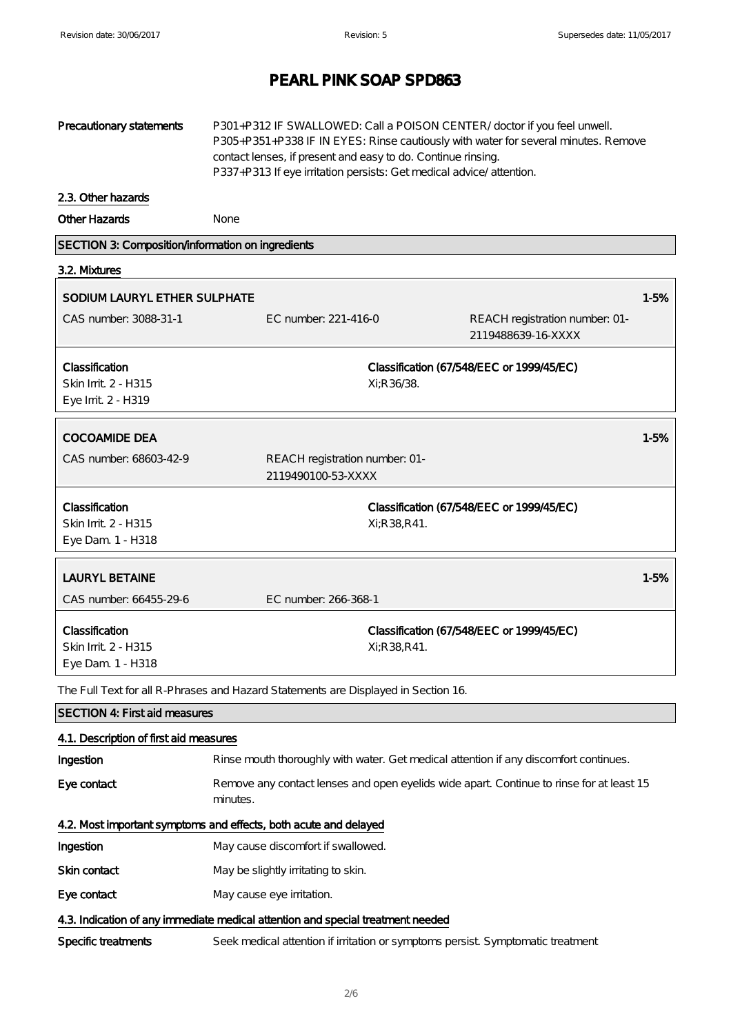| Precautionary statements                                                        | P301+P312 IF SWALLOWED: Call a POISON CENTER/doctor if you feel unwell.<br>P305+P351+P338 IF IN EYES: Rinse cautiously with water for several minutes. Remove<br>contact lenses, if present and easy to do. Continue rinsing.<br>P337+P313 If eye irritation persists: Get medical advice/attention. |                 |                                                                                         |          |
|---------------------------------------------------------------------------------|------------------------------------------------------------------------------------------------------------------------------------------------------------------------------------------------------------------------------------------------------------------------------------------------------|-----------------|-----------------------------------------------------------------------------------------|----------|
| 2.3. Other hazards                                                              |                                                                                                                                                                                                                                                                                                      |                 |                                                                                         |          |
| Other Hazards                                                                   | None                                                                                                                                                                                                                                                                                                 |                 |                                                                                         |          |
| SECTION 3: Composition/information on ingredients                               |                                                                                                                                                                                                                                                                                                      |                 |                                                                                         |          |
| 3.2. Mixtures                                                                   |                                                                                                                                                                                                                                                                                                      |                 |                                                                                         |          |
| SODIUM LAURYL ETHER SULPHATE                                                    |                                                                                                                                                                                                                                                                                                      |                 |                                                                                         | $1 - 5%$ |
| CAS number: 3088-31-1                                                           | EC number: 221-416-0                                                                                                                                                                                                                                                                                 |                 | REACH registration number: 01-<br>2119488639-16-XXXX                                    |          |
| Classification<br>Skin Irrit 2 - H315<br>Eye Irrit 2 - H319                     |                                                                                                                                                                                                                                                                                                      | Xi:R 36/38.     | Classification (67/548/EEC or 1999/45/EC)                                               |          |
| <b>COCOAMIDE DEA</b>                                                            |                                                                                                                                                                                                                                                                                                      |                 |                                                                                         | $1 - 5%$ |
| CAS number: 68603-42-9                                                          | REACH registration number: 01-<br>2119490100-53-XXXX                                                                                                                                                                                                                                                 |                 |                                                                                         |          |
| Classification<br>Skin Irrit 2 - H315<br>Eye Dam. 1 - H318                      |                                                                                                                                                                                                                                                                                                      | Xi; R 38, R 41. | Classification (67/548/EEC or 1999/45/EC)                                               |          |
| <b>LAURYL BETAINE</b>                                                           |                                                                                                                                                                                                                                                                                                      |                 |                                                                                         | 1-5%     |
| CAS number: 66455-29-6                                                          | EC number: 266-368-1                                                                                                                                                                                                                                                                                 |                 |                                                                                         |          |
| Classification<br>Skin Irrit 2 - H315<br>Eye Dam. 1 - H318                      |                                                                                                                                                                                                                                                                                                      | Xi; R 38, R 41. | Classification (67/548/EEC or 1999/45/EC)                                               |          |
|                                                                                 | The Full Text for all R-Phrases and Hazard Statements are Displayed in Section 16.                                                                                                                                                                                                                   |                 |                                                                                         |          |
| <b>SECTION 4: Firstaid measures</b>                                             |                                                                                                                                                                                                                                                                                                      |                 |                                                                                         |          |
| 4.1. Description of first aid measures                                          |                                                                                                                                                                                                                                                                                                      |                 |                                                                                         |          |
| Ingestion                                                                       |                                                                                                                                                                                                                                                                                                      |                 | Rinse mouth thoroughly with water. Get medical attention if any discomfort continues.   |          |
| Eye contact                                                                     | minutes.                                                                                                                                                                                                                                                                                             |                 | Remove any contact lenses and open eyelids wide apart Continue to rinse for at least 15 |          |
| 4.2. Most important symptoms and effects, both acute and delayed                |                                                                                                                                                                                                                                                                                                      |                 |                                                                                         |          |
| Ingestion                                                                       | May cause discomfort if swallowed.                                                                                                                                                                                                                                                                   |                 |                                                                                         |          |
| Skin contact                                                                    | May be slightly irritating to skin.                                                                                                                                                                                                                                                                  |                 |                                                                                         |          |
| Eye contact                                                                     | May cause eye irritation.                                                                                                                                                                                                                                                                            |                 |                                                                                         |          |
| 4.3. Indication of any immediate medical attention and special treatment needed |                                                                                                                                                                                                                                                                                                      |                 |                                                                                         |          |
| Specific treatments                                                             | Seek medical attention if irritation or symptoms persist. Symptomatic treatment                                                                                                                                                                                                                      |                 |                                                                                         |          |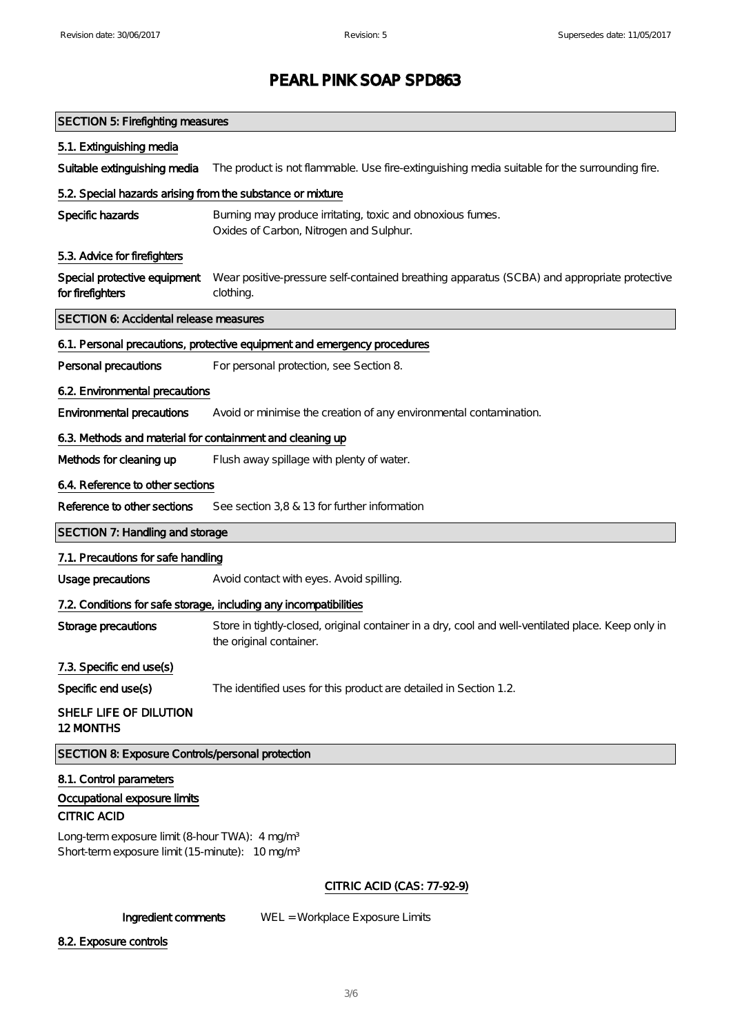| <b>SECTION 5: Firefighting measures</b>                                                                                   |                                                                                                                               |
|---------------------------------------------------------------------------------------------------------------------------|-------------------------------------------------------------------------------------------------------------------------------|
| 5.1. Extinguishing media                                                                                                  |                                                                                                                               |
| Suitable extinguishing media                                                                                              | The product is not flammable. Use fire-extinguishing media suitable for the surrounding fire.                                 |
| 5.2. Special hazards arising from the substance or mixture                                                                |                                                                                                                               |
| Specific hazards                                                                                                          | Burning may produce irritating, toxic and obnoxious fumes.<br>Oxides of Carbon, Nitrogen and Sulphur.                         |
| 5.3. Advice for firefighters                                                                                              |                                                                                                                               |
| Special protective equipment<br>for firefighters                                                                          | Wear positive-pressure self-contained breathing apparatus (SCBA) and appropriate protective<br>clothing.                      |
| SECTION 6: Accidental release measures                                                                                    |                                                                                                                               |
|                                                                                                                           | 6.1. Personal precautions, protective equipment and emergency procedures                                                      |
| Personal precautions                                                                                                      | For personal protection, see Section 8.                                                                                       |
| 6.2. Environmental precautions                                                                                            |                                                                                                                               |
| Environmental precautions                                                                                                 | Avoid or minimise the creation of any environmental contamination.                                                            |
| 6.3. Methods and material for containment and cleaning up                                                                 |                                                                                                                               |
| Methods for cleaning up                                                                                                   | Flush away spillage with plenty of water.                                                                                     |
| 6.4. Reference to other sections                                                                                          |                                                                                                                               |
| Reference to other sections                                                                                               | See section 3,8 & 13 for further information                                                                                  |
| SECTION 7: Handling and storage                                                                                           |                                                                                                                               |
| 7.1. Precautions for safe handling                                                                                        |                                                                                                                               |
| Usage precautions                                                                                                         | Avoid contact with eyes. Avoid spilling.                                                                                      |
|                                                                                                                           | 7.2. Conditions for safe storage, including any incompatibilities                                                             |
| Storage precautions                                                                                                       | Store in tightly-closed, original container in a dry, cool and well-ventilated place. Keep only in<br>the original container. |
| 7.3. Specific end use(s)                                                                                                  |                                                                                                                               |
| Specific end use(s)                                                                                                       | The identified uses for this product are detailed in Section 1.2.                                                             |
| SHELF LIFE OF DILUTION<br>12 MONTHS                                                                                       |                                                                                                                               |
| SECTION 8: Exposure Controls/personal protection                                                                          |                                                                                                                               |
| 8.1. Control parameters<br>Occupational exposure limits<br><b>CITRIC ACID</b>                                             |                                                                                                                               |
| Long-term exposure limit (8-hour TWA): 4 mg/m <sup>3</sup><br>Short-term exposure limit (15-minute): 10 mg/m <sup>3</sup> |                                                                                                                               |
|                                                                                                                           | <b>CITRIC ACID (CAS: 77-92-9)</b>                                                                                             |

Ingredient comments WEL = Workplace Exposure Limits

8.2. Exposure controls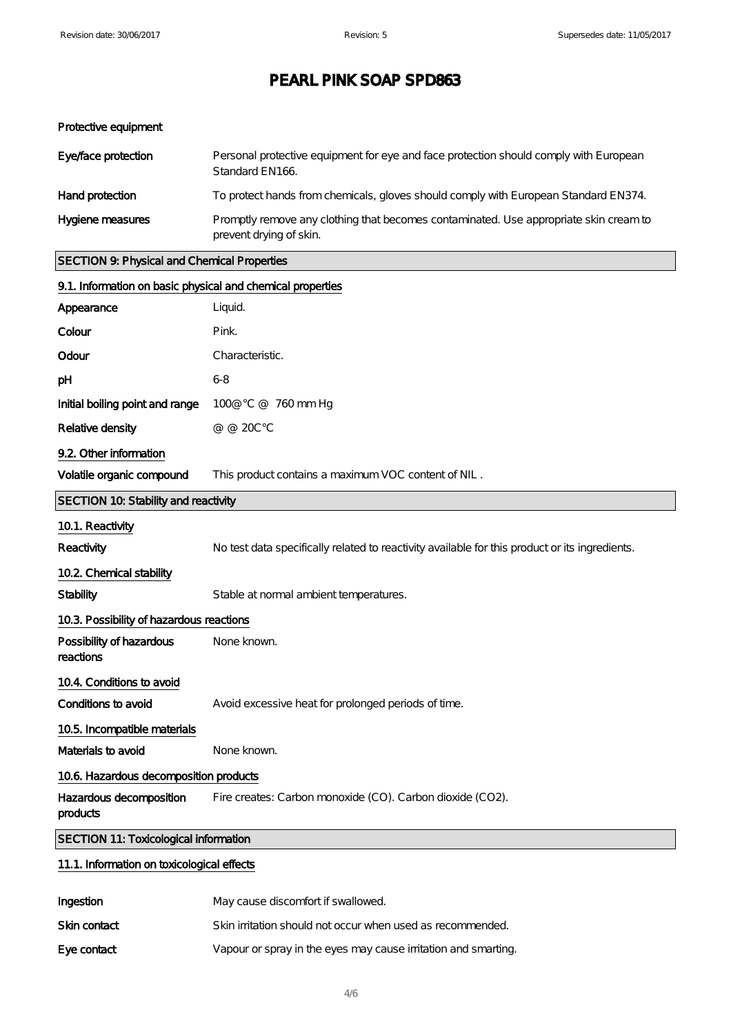#### Protective equipment

| Eye/face protection | Personal protective equipment for eye and face protection should comply with European<br>Standard EN166.         |
|---------------------|------------------------------------------------------------------------------------------------------------------|
| Hand protection     | To protect hands from chemicals, gloves should comply with European Standard EN374.                              |
| Hygiene measures    | Promptly remove any clothing that becomes contaminated. Use appropriate skin cream to<br>prevent drying of skin. |

#### SECTION 9: Physical and Chemical Properties

|                                              | 9.1. Information on basic physical and chemical properties                                     |  |  |
|----------------------------------------------|------------------------------------------------------------------------------------------------|--|--|
| Appearance                                   | Liquid.                                                                                        |  |  |
| Colour                                       | Pink.                                                                                          |  |  |
| Odour                                        | Characteristic.                                                                                |  |  |
| рH                                           | 6-8                                                                                            |  |  |
| Initial boiling point and range              | 100@ °C @ 760 mm Hg                                                                            |  |  |
| Relative density                             | @ @ 20C°C                                                                                      |  |  |
| 9.2. Other information                       |                                                                                                |  |  |
| Volatile organic compound                    | This product contains a maximum VOC content of NIL.                                            |  |  |
| SECTION 10: Stability and reactivity         |                                                                                                |  |  |
| 10.1. Reactivity                             |                                                                                                |  |  |
| Reactivity                                   | No test data specifically related to reactivity available for this product or its ingredients. |  |  |
| 10.2. Chemical stability                     |                                                                                                |  |  |
| <b>Stability</b>                             | Stable at normal ambient temperatures.                                                         |  |  |
| 10.3. Possibility of hazardous reactions     |                                                                                                |  |  |
| Possibility of hazardous<br>reactions        | None known.                                                                                    |  |  |
| 10.4. Conditions to avoid                    |                                                                                                |  |  |
| Conditions to avoid                          | Avoid excessive heat for prolonged periods of time.                                            |  |  |
| 10.5. Incompatible materials                 |                                                                                                |  |  |
| Materials to avoid                           | None known.                                                                                    |  |  |
| 10.6. Hazardous decomposition products       |                                                                                                |  |  |
| Hazardous decomposition<br>products          | Fire creates: Carbon monoxide (CO). Carbon dioxide (CO2).                                      |  |  |
| <b>SECTION 11: Toxicological information</b> |                                                                                                |  |  |
| 11.1. Information on toxicological effects   |                                                                                                |  |  |

| Ingestion    | May cause discomfort if swallowed.                             |
|--------------|----------------------------------------------------------------|
| Skin contact | Skin irritation should not occur when used as recommended.     |
| E ye contact | Vapour or spray in the eyes may cause irritation and smarting. |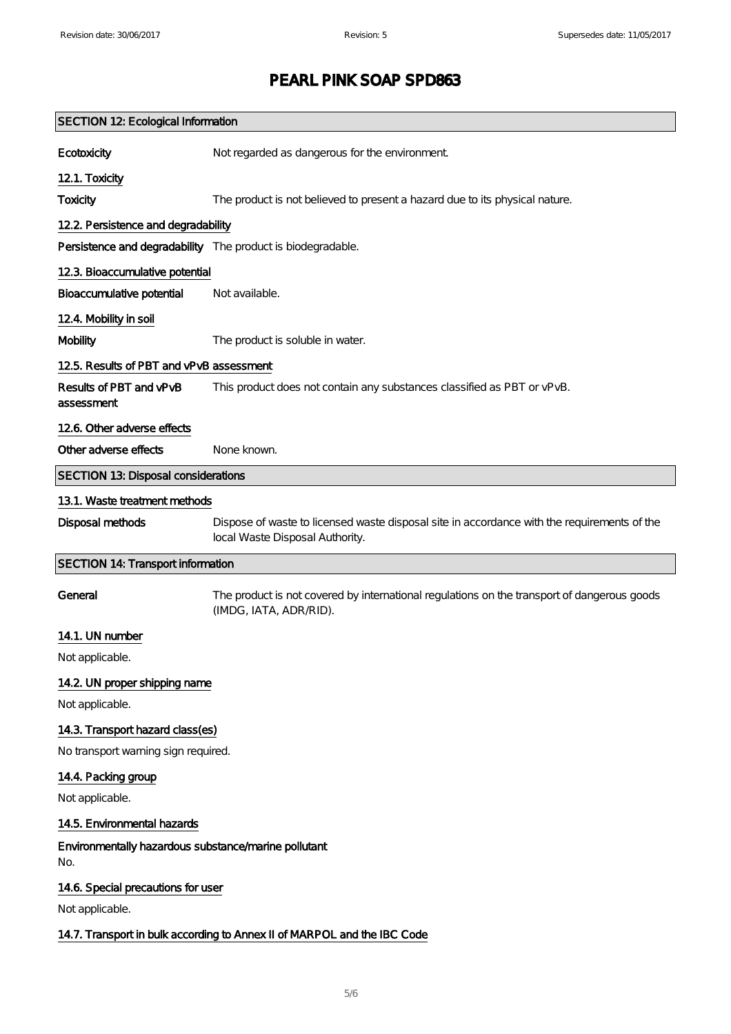| <b>SECTION 12: Ecological Information</b>                   |                                                                                                                                |  |
|-------------------------------------------------------------|--------------------------------------------------------------------------------------------------------------------------------|--|
| <b>E</b> cotoxicity                                         | Not regarded as dangerous for the environment                                                                                  |  |
| 12.1. Toxicity                                              |                                                                                                                                |  |
| <b>Toxicity</b>                                             | The product is not believed to present a hazard due to its physical nature.                                                    |  |
| 12.2. Persistence and degradability                         |                                                                                                                                |  |
| Persistence and degradability The product is biodegradable. |                                                                                                                                |  |
| 12.3. Bioaccumulative potential                             |                                                                                                                                |  |
| Bioaccumulative potential                                   | Not available.                                                                                                                 |  |
| 12.4. Mobility in soil                                      |                                                                                                                                |  |
| <b>Mobility</b>                                             | The product is soluble in water.                                                                                               |  |
| 12.5. Results of PBT and vPvB assessment                    |                                                                                                                                |  |
| Results of PBT and vPvB<br>assessment                       | This product does not contain any substances classified as PBT or vPvB.                                                        |  |
| 12.6. Other adverse effects                                 |                                                                                                                                |  |
| O ther adverse effects                                      | None known.                                                                                                                    |  |
| <b>SECTION 13: Disposal considerations</b>                  |                                                                                                                                |  |
| 13.1. Waste treatment methods                               |                                                                                                                                |  |
| Disposal methods                                            | Dispose of waste to licensed waste disposal site in accordance with the requirements of the<br>local Waste Disposal Authority. |  |
| <b>SECTION 14: Transport information</b>                    |                                                                                                                                |  |
| General                                                     | The product is not covered by international regulations on the transport of dangerous goods<br>(IMDG, IATA, ADR/RID).          |  |
| 14.1. UN number                                             |                                                                                                                                |  |
| Not applicable.                                             |                                                                                                                                |  |
| 14.2. UN proper shipping name                               |                                                                                                                                |  |
| Not applicable.                                             |                                                                                                                                |  |
| 14.3. Transport hazard class(es)                            |                                                                                                                                |  |
| No transport warning sign required.                         |                                                                                                                                |  |
| 14.4. Packing group                                         |                                                                                                                                |  |
| Not applicable.                                             |                                                                                                                                |  |
| 14.5. Environmental hazards                                 |                                                                                                                                |  |
| Environmentally hazardous substance/marine pollutant<br>No. |                                                                                                                                |  |
| 14.6. Special precautions for user                          |                                                                                                                                |  |
| Not applicable.                                             |                                                                                                                                |  |
|                                                             | 14.7. Transport in bulk according to Annex II of MARPOL and the IBC Code                                                       |  |